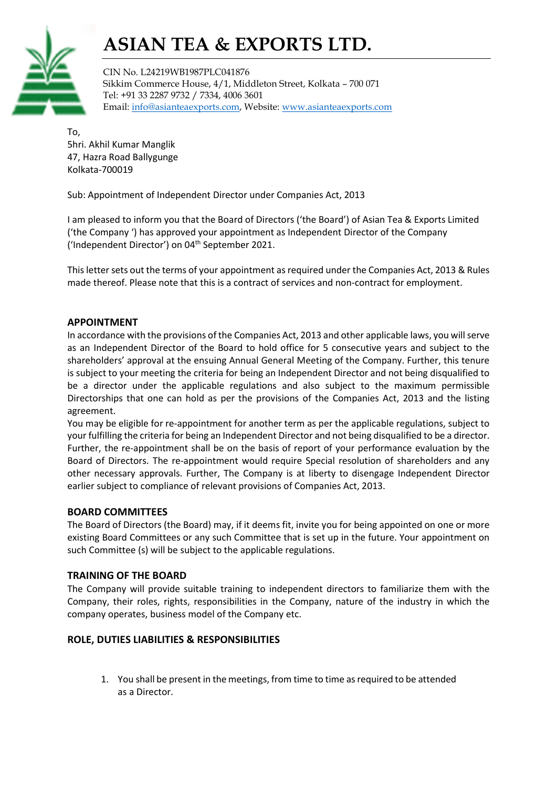# ASIAN TEA & EXPORTS LTD.



CIN No. L24219WB1987PLC041876 Sikkim Commerce House, 4/1, Middleton Street, Kolkata – 700 071 Tel: +91 33 2287 9732 / 7334, 4006 3601 Email: info@asianteaexports.com, Website: www.asianteaexports.com

To, 5hri. Akhil Kumar Manglik 47, Hazra Road Ballygunge Kolkata-700019

Sub: Appointment of Independent Director under Companies Act, 2013

I am pleased to inform you that the Board of Directors ('the Board') of Asian Tea & Exports Limited ('the Company ') has approved your appointment as Independent Director of the Company ('Independent Director') on 04th September 2021.

This letter sets out the terms of your appointment as required under the Companies Act, 2013 & Rules made thereof. Please note that this is a contract of services and non-contract for employment.

#### APPOINTMENT

In accordance with the provisions of the Companies Act, 2013 and other applicable laws, you will serve as an Independent Director of the Board to hold office for 5 consecutive years and subject to the shareholders' approval at the ensuing Annual General Meeting of the Company. Further, this tenure is subject to your meeting the criteria for being an Independent Director and not being disqualified to be a director under the applicable regulations and also subject to the maximum permissible Directorships that one can hold as per the provisions of the Companies Act, 2013 and the listing agreement.

You may be eligible for re-appointment for another term as per the applicable regulations, subject to your fulfilling the criteria for being an Independent Director and not being disqualified to be a director. Further, the re-appointment shall be on the basis of report of your performance evaluation by the Board of Directors. The re-appointment would require Special resolution of shareholders and any other necessary approvals. Further, The Company is at liberty to disengage Independent Director earlier subject to compliance of relevant provisions of Companies Act, 2013.

#### BOARD COMMITTEES

The Board of Directors (the Board) may, if it deems fit, invite you for being appointed on one or more existing Board Committees or any such Committee that is set up in the future. Your appointment on such Committee (s) will be subject to the applicable regulations.

#### TRAINING OF THE BOARD

The Company will provide suitable training to independent directors to familiarize them with the Company, their roles, rights, responsibilities in the Company, nature of the industry in which the company operates, business model of the Company etc.

#### ROLE, DUTIES LIABILITIES & RESPONSIBILITIES

1. You shall be present in the meetings, from time to time as required to be attended as a Director.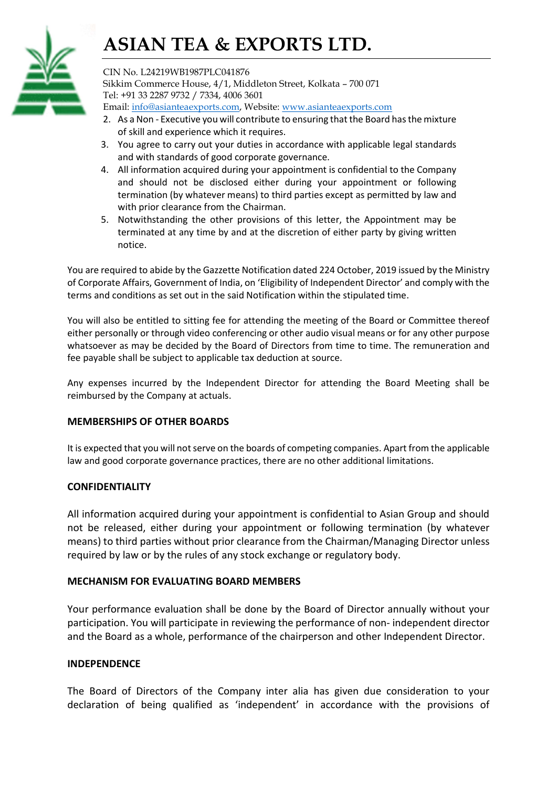## ASIAN TEA & EXPORTS LTD.



CIN No. L24219WB1987PLC041876 Sikkim Commerce House, 4/1, Middleton Street, Kolkata – 700 071 Tel: +91 33 2287 9732 / 7334, 4006 3601 Email: info@asianteaexports.com, Website: www.asianteaexports.com

- 2. As a Non Executive you will contribute to ensuring that the Board has the mixture of skill and experience which it requires.
- 3. You agree to carry out your duties in accordance with applicable legal standards and with standards of good corporate governance.
- 4. All information acquired during your appointment is confidential to the Company and should not be disclosed either during your appointment or following termination (by whatever means) to third parties except as permitted by law and with prior clearance from the Chairman.
- 5. Notwithstanding the other provisions of this letter, the Appointment may be terminated at any time by and at the discretion of either party by giving written notice.

You are required to abide by the Gazzette Notification dated 224 October, 2019 issued by the Ministry of Corporate Affairs, Government of India, on 'Eligibility of Independent Director' and comply with the terms and conditions as set out in the said Notification within the stipulated time.

You will also be entitled to sitting fee for attending the meeting of the Board or Committee thereof either personally or through video conferencing or other audio visual means or for any other purpose whatsoever as may be decided by the Board of Directors from time to time. The remuneration and fee payable shall be subject to applicable tax deduction at source.

Any expenses incurred by the Independent Director for attending the Board Meeting shall be reimbursed by the Company at actuals.

#### MEMBERSHIPS OF OTHER BOARDS

It is expected that you will not serve on the boards of competing companies. Apart from the applicable law and good corporate governance practices, there are no other additional limitations.

#### CONFIDENTIALITY

All information acquired during your appointment is confidential to Asian Group and should not be released, either during your appointment or following termination (by whatever means) to third parties without prior clearance from the Chairman/Managing Director unless required by law or by the rules of any stock exchange or regulatory body.

#### MECHANISM FOR EVALUATING BOARD MEMBERS

Your performance evaluation shall be done by the Board of Director annually without your participation. You will participate in reviewing the performance of non- independent director and the Board as a whole, performance of the chairperson and other Independent Director.

#### INDEPENDENCE

The Board of Directors of the Company inter alia has given due consideration to your declaration of being qualified as 'independent' in accordance with the provisions of